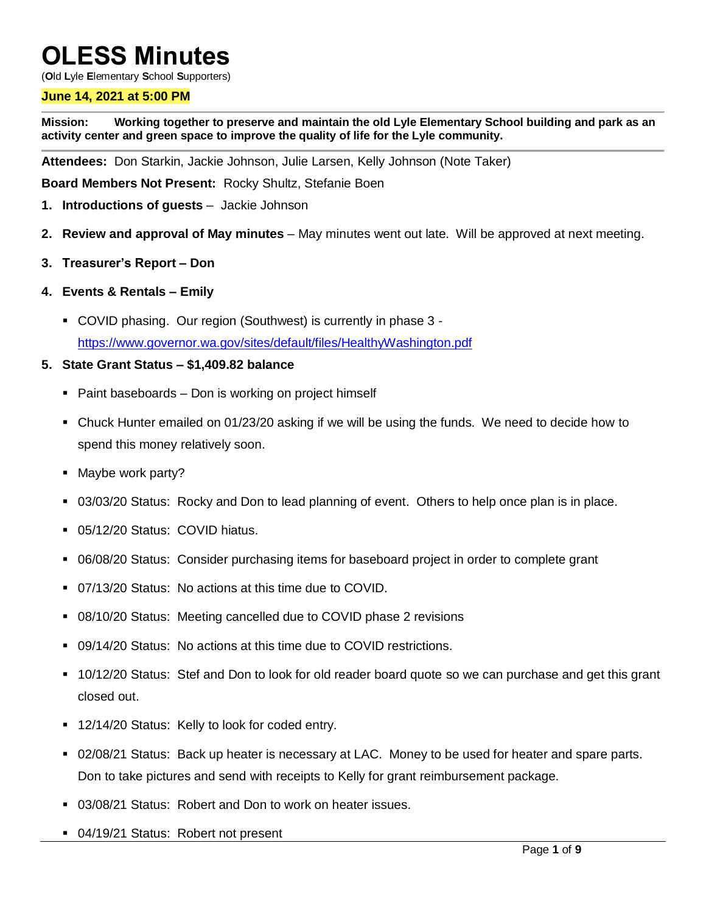# **OLESS Minutes**

(**O**ld **L**yle **E**lementary **S**chool **S**upporters)

#### **June 14, 2021 at 5:00 PM**

**Mission: Working together to preserve and maintain the old Lyle Elementary School building and park as an activity center and green space to improve the quality of life for the Lyle community.**

**Attendees:** Don Starkin, Jackie Johnson, Julie Larsen, Kelly Johnson (Note Taker)

**Board Members Not Present:** Rocky Shultz, Stefanie Boen

- **1. Introductions of guests** Jackie Johnson
- **2. Review and approval of May minutes** May minutes went out late. Will be approved at next meeting.
- **3. Treasurer's Report – Don**
- **4. Events & Rentals – Emily**
	- COVID phasing. Our region (Southwest) is currently in phase 3 <https://www.governor.wa.gov/sites/default/files/HealthyWashington.pdf>

#### **5. State Grant Status – \$1,409.82 balance**

- Paint baseboards Don is working on project himself
- Chuck Hunter emailed on 01/23/20 asking if we will be using the funds. We need to decide how to spend this money relatively soon.
- Maybe work party?
- 03/03/20 Status: Rocky and Don to lead planning of event. Others to help once plan is in place.
- 05/12/20 Status: COVID hiatus.
- 06/08/20 Status: Consider purchasing items for baseboard project in order to complete grant
- 07/13/20 Status: No actions at this time due to COVID.
- 08/10/20 Status: Meeting cancelled due to COVID phase 2 revisions
- 09/14/20 Status: No actions at this time due to COVID restrictions.
- 10/12/20 Status: Stef and Don to look for old reader board quote so we can purchase and get this grant closed out.
- 12/14/20 Status: Kelly to look for coded entry.
- 02/08/21 Status: Back up heater is necessary at LAC. Money to be used for heater and spare parts. Don to take pictures and send with receipts to Kelly for grant reimbursement package.
- 03/08/21 Status: Robert and Don to work on heater issues.
- 04/19/21 Status: Robert not present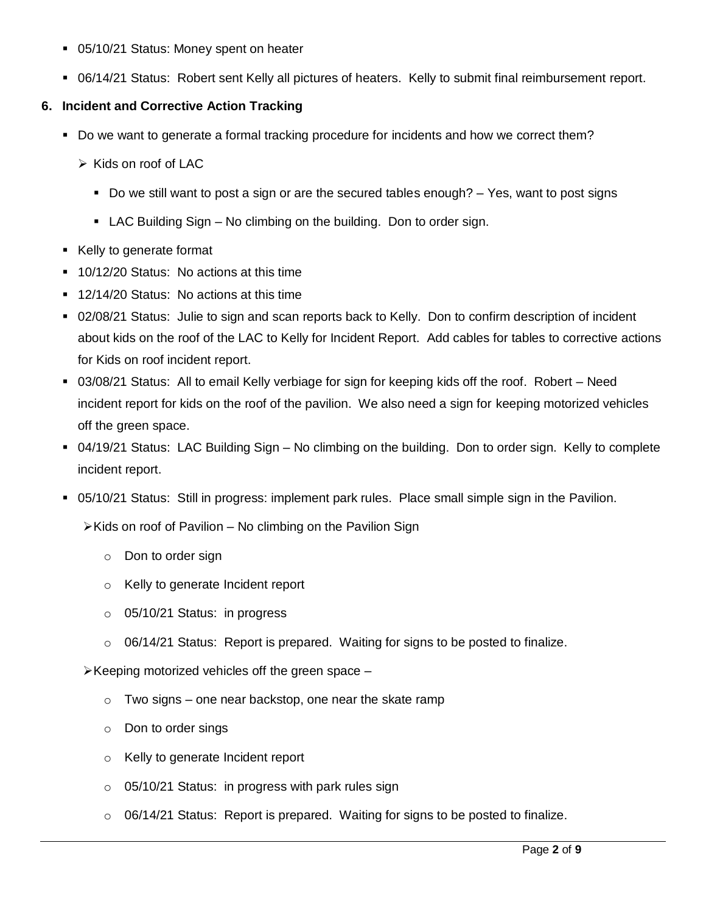- 05/10/21 Status: Money spent on heater
- 06/14/21 Status: Robert sent Kelly all pictures of heaters. Kelly to submit final reimbursement report.

# **6. Incident and Corrective Action Tracking**

- Do we want to generate a formal tracking procedure for incidents and how we correct them?
	- $\triangleright$  Kids on roof of LAC
		- Do we still want to post a sign or are the secured tables enough?  $-$  Yes, want to post signs
		- LAC Building Sign No climbing on the building. Don to order sign.
- Kelly to generate format
- **10/12/20 Status: No actions at this time**
- 12/14/20 Status: No actions at this time
- 02/08/21 Status: Julie to sign and scan reports back to Kelly. Don to confirm description of incident about kids on the roof of the LAC to Kelly for Incident Report. Add cables for tables to corrective actions for Kids on roof incident report.
- 03/08/21 Status: All to email Kelly verbiage for sign for keeping kids off the roof. Robert Need incident report for kids on the roof of the pavilion. We also need a sign for keeping motorized vehicles off the green space.
- 04/19/21 Status: LAC Building Sign No climbing on the building. Don to order sign. Kelly to complete incident report.
- 05/10/21 Status: Still in progress: implement park rules. Place small simple sign in the Pavilion.

 $\triangleright$  Kids on roof of Pavilion – No climbing on the Pavilion Sign

- o Don to order sign
- o Kelly to generate Incident report
- o 05/10/21 Status: in progress
- $\circ$  06/14/21 Status: Report is prepared. Waiting for signs to be posted to finalize.

 $\triangleright$  Keeping motorized vehicles off the green space  $-$ 

- $\circ$  Two signs one near backstop, one near the skate ramp
- o Don to order sings
- o Kelly to generate Incident report
- o 05/10/21 Status: in progress with park rules sign
- $\circ$  06/14/21 Status: Report is prepared. Waiting for signs to be posted to finalize.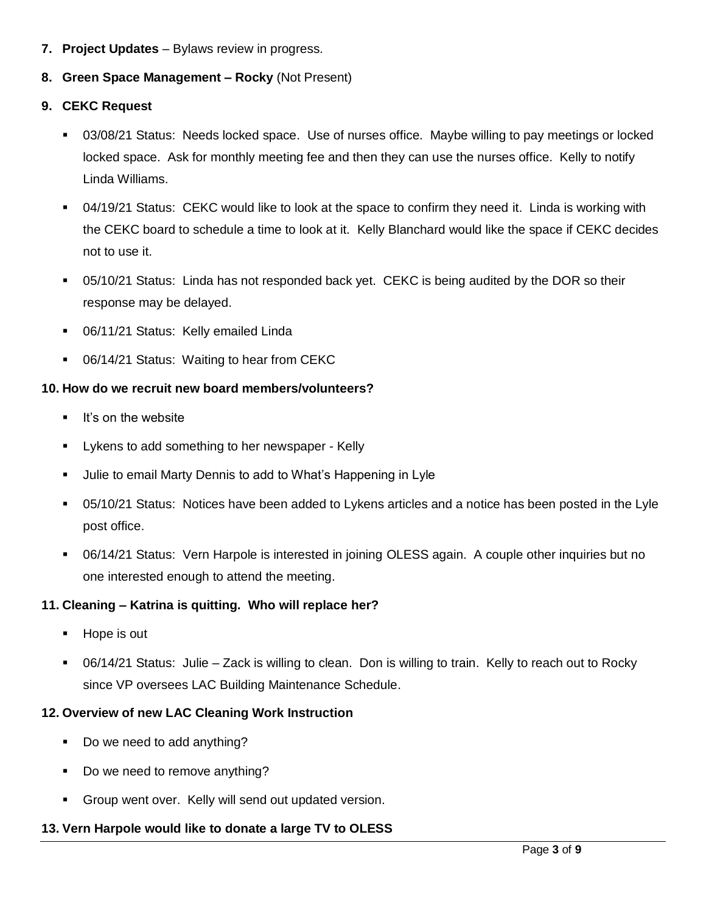- **7. Project Updates** Bylaws review in progress.
- **8. Green Space Management – Rocky** (Not Present)
- **9. CEKC Request**
	- 03/08/21 Status: Needs locked space. Use of nurses office. Maybe willing to pay meetings or locked locked space. Ask for monthly meeting fee and then they can use the nurses office. Kelly to notify Linda Williams.
	- 04/19/21 Status: CEKC would like to look at the space to confirm they need it. Linda is working with the CEKC board to schedule a time to look at it. Kelly Blanchard would like the space if CEKC decides not to use it.
	- 05/10/21 Status: Linda has not responded back yet. CEKC is being audited by the DOR so their response may be delayed.
	- **06/11/21 Status: Kelly emailed Linda**
	- **06/14/21 Status: Waiting to hear from CEKC**

# **10. How do we recruit new board members/volunteers?**

- **If's on the website**
- **EXECT** Lykens to add something to her newspaper Kelly
- Julie to email Marty Dennis to add to What's Happening in Lyle
- 05/10/21 Status: Notices have been added to Lykens articles and a notice has been posted in the Lyle post office.
- 06/14/21 Status: Vern Harpole is interested in joining OLESS again. A couple other inquiries but no one interested enough to attend the meeting.

# **11. Cleaning – Katrina is quitting. Who will replace her?**

- **Hope is out**
- 06/14/21 Status: Julie Zack is willing to clean. Don is willing to train. Kelly to reach out to Rocky since VP oversees LAC Building Maintenance Schedule.

# **12. Overview of new LAC Cleaning Work Instruction**

- Do we need to add anything?
- Do we need to remove anything?
- Group went over. Kelly will send out updated version.

# **13. Vern Harpole would like to donate a large TV to OLESS**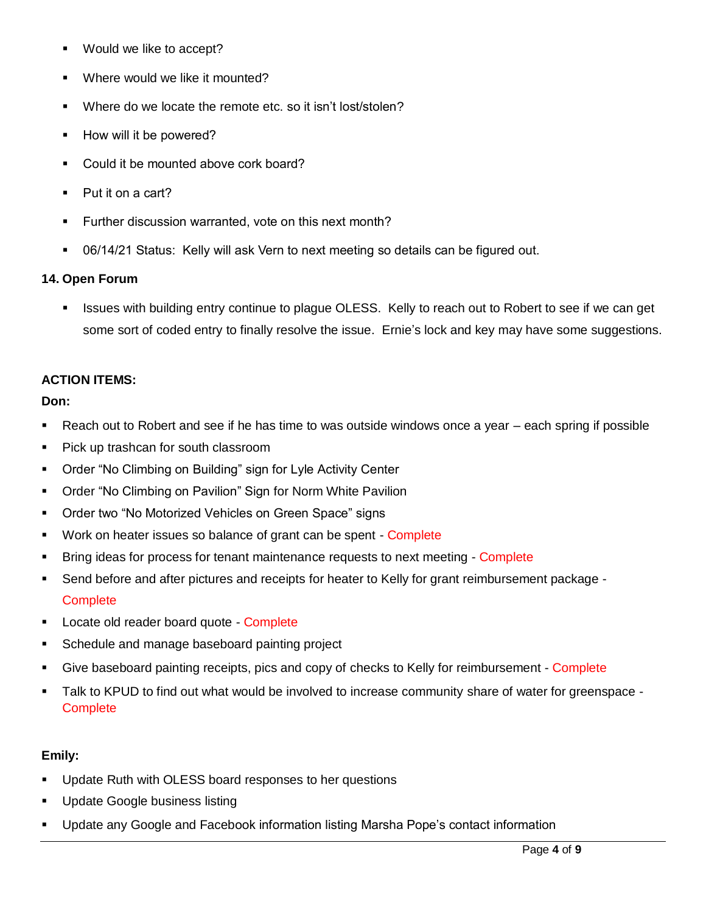- Would we like to accept?
- Where would we like it mounted?
- Where do we locate the remote etc. so it isn't lost/stolen?
- **How will it be powered?**
- Could it be mounted above cork board?
- Put it on a cart?
- Further discussion warranted, vote on this next month?
- 06/14/21 Status: Kelly will ask Vern to next meeting so details can be figured out.

## **14. Open Forum**

 Issues with building entry continue to plague OLESS. Kelly to reach out to Robert to see if we can get some sort of coded entry to finally resolve the issue. Ernie's lock and key may have some suggestions.

## **ACTION ITEMS:**

## **Don:**

- Reach out to Robert and see if he has time to was outside windows once a year each spring if possible
- Pick up trashcan for south classroom
- Order "No Climbing on Building" sign for Lyle Activity Center
- Order "No Climbing on Pavilion" Sign for Norm White Pavilion
- **Order two "No Motorized Vehicles on Green Space" signs**
- **Work on heater issues so balance of grant can be spent Complete**
- Bring ideas for process for tenant maintenance requests to next meeting Complete
- Send before and after pictures and receipts for heater to Kelly for grant reimbursement package **Complete**
- **Locate old reader board quote Complete**
- Schedule and manage baseboard painting project
- Give baseboard painting receipts, pics and copy of checks to Kelly for reimbursement Complete
- Talk to KPUD to find out what would be involved to increase community share of water for greenspace **Complete**

# **Emily:**

- Update Ruth with OLESS board responses to her questions
- **Update Google business listing**
- Update any Google and Facebook information listing Marsha Pope's contact information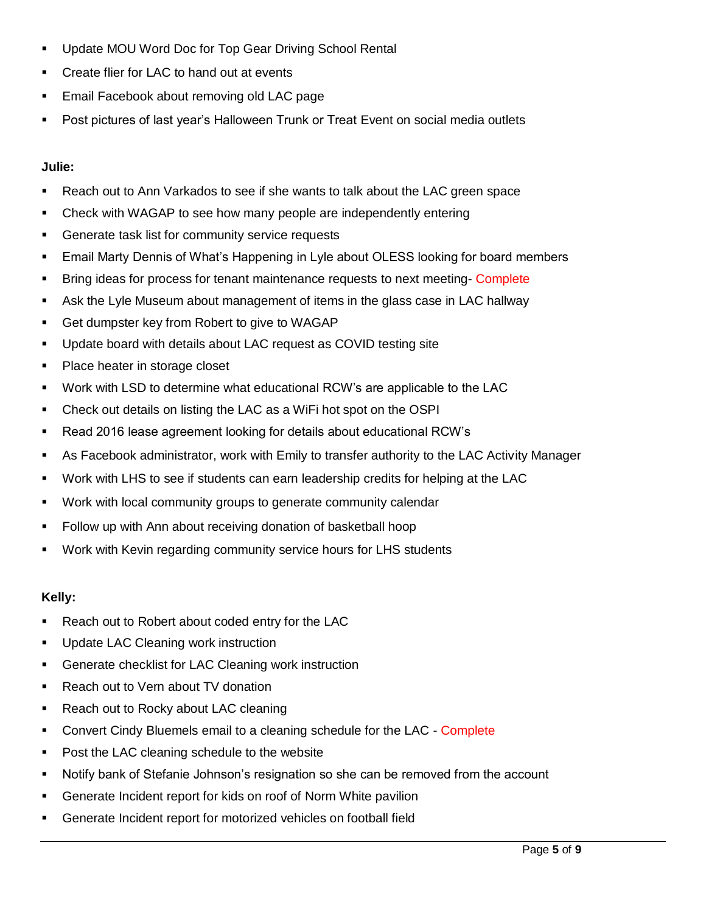- **Update MOU Word Doc for Top Gear Driving School Rental**
- **EXECT** Create flier for LAC to hand out at events
- **Email Facebook about removing old LAC page**
- **Post pictures of last year's Halloween Trunk or Treat Event on social media outlets**

## **Julie:**

- Reach out to Ann Varkados to see if she wants to talk about the LAC green space
- Check with WAGAP to see how many people are independently entering
- **Generate task list for community service requests**
- **Email Marty Dennis of What's Happening in Lyle about OLESS looking for board members**
- **Bring ideas for process for tenant maintenance requests to next meeting- Complete**
- Ask the Lyle Museum about management of items in the glass case in LAC hallway
- **Get dumpster key from Robert to give to WAGAP**
- Update board with details about LAC request as COVID testing site
- Place heater in storage closet
- Work with LSD to determine what educational RCW's are applicable to the LAC
- Check out details on listing the LAC as a WiFi hot spot on the OSPI
- Read 2016 lease agreement looking for details about educational RCW's
- As Facebook administrator, work with Emily to transfer authority to the LAC Activity Manager
- Work with LHS to see if students can earn leadership credits for helping at the LAC
- **Work with local community groups to generate community calendar**
- Follow up with Ann about receiving donation of basketball hoop
- Work with Kevin regarding community service hours for LHS students

#### **Kelly:**

- **Reach out to Robert about coded entry for the LAC**
- **Update LAC Cleaning work instruction**
- **Generate checklist for LAC Cleaning work instruction**
- **Reach out to Vern about TV donation**
- Reach out to Rocky about LAC cleaning
- Convert Cindy Bluemels email to a cleaning schedule for the LAC Complete
- Post the LAC cleaning schedule to the website
- Notify bank of Stefanie Johnson's resignation so she can be removed from the account
- **Generate Incident report for kids on roof of Norm White pavilion**
- Generate Incident report for motorized vehicles on football field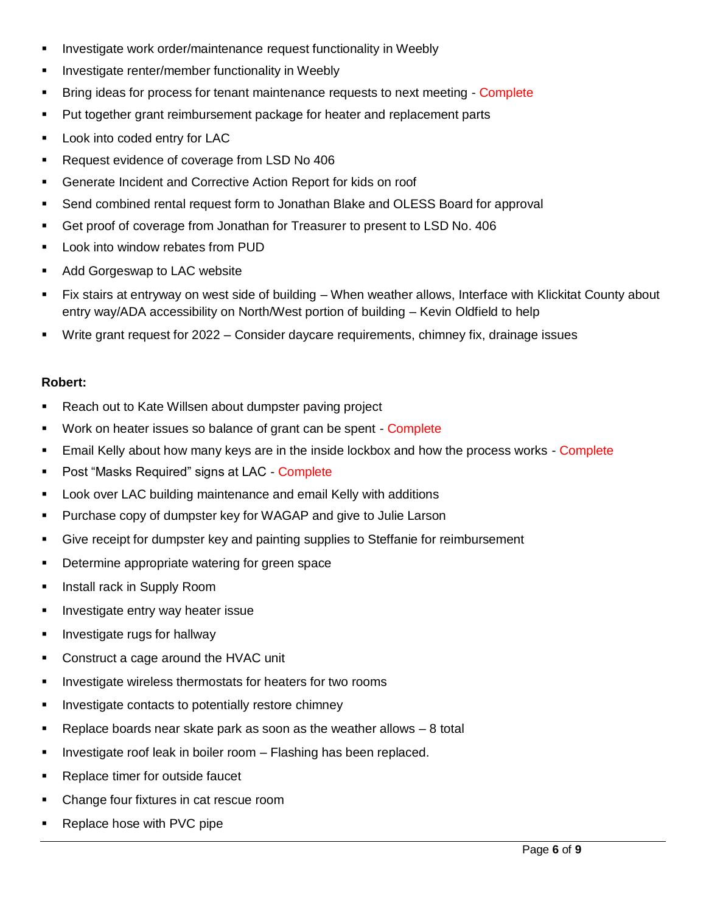- **IF** Investigate work order/maintenance request functionality in Weebly
- Investigate renter/member functionality in Weebly
- Bring ideas for process for tenant maintenance requests to next meeting Complete
- **Put together grant reimbursement package for heater and replacement parts**
- **Look into coded entry for LAC**
- Request evidence of coverage from LSD No 406
- Generate Incident and Corrective Action Report for kids on roof
- Send combined rental request form to Jonathan Blake and OLESS Board for approval
- Get proof of coverage from Jonathan for Treasurer to present to LSD No. 406
- **Look into window rebates from PUD**
- **Add Gorgeswap to LAC website**
- Fix stairs at entryway on west side of building When weather allows, Interface with Klickitat County about entry way/ADA accessibility on North/West portion of building – Kevin Oldfield to help
- Write grant request for 2022 Consider daycare requirements, chimney fix, drainage issues

#### **Robert:**

- Reach out to Kate Willsen about dumpster paving project
- **Work on heater issues so balance of grant can be spent Complete**
- **Email Kelly about how many keys are in the inside lockbox and how the process works Complete**
- Post "Masks Required" signs at LAC Complete
- Look over LAC building maintenance and email Kelly with additions
- Purchase copy of dumpster key for WAGAP and give to Julie Larson
- Give receipt for dumpster key and painting supplies to Steffanie for reimbursement
- **•** Determine appropriate watering for green space
- **Install rack in Supply Room**
- **Investigate entry way heater issue**
- **Investigate rugs for hallway**
- **Construct a cage around the HVAC unit**
- **Investigate wireless thermostats for heaters for two rooms**
- **Investigate contacts to potentially restore chimney**
- **Parage 2** Replace boards near skate park as soon as the weather allows  $-8$  total
- **Investigate roof leak in boiler room Flashing has been replaced.**
- Replace timer for outside faucet
- Change four fixtures in cat rescue room
- **Replace hose with PVC pipe**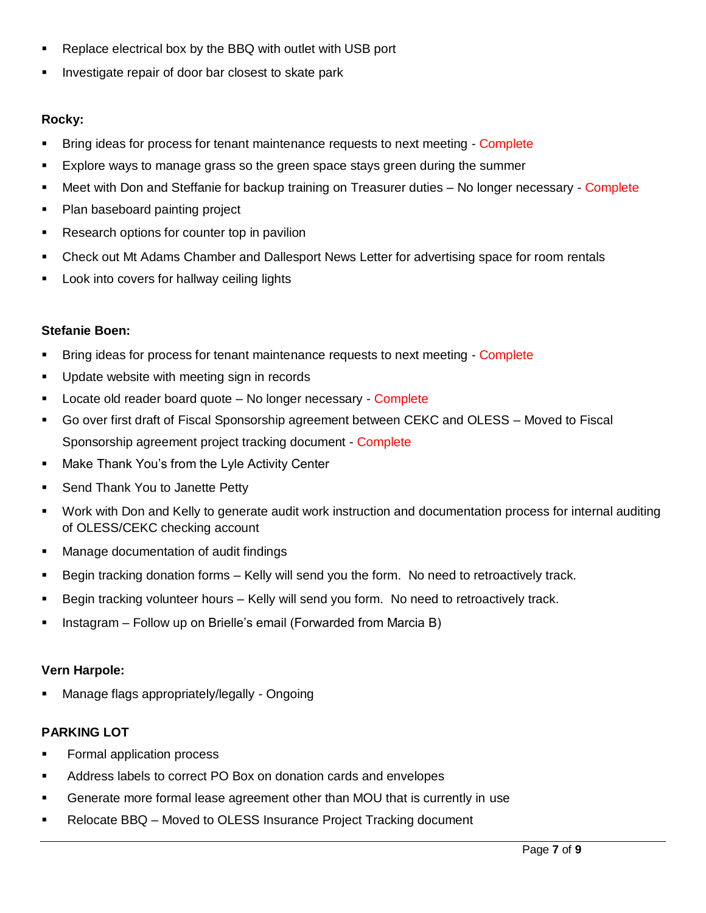- **Replace electrical box by the BBQ with outlet with USB port**
- Investigate repair of door bar closest to skate park

# **Rocky:**

- Bring ideas for process for tenant maintenance requests to next meeting Complete
- Explore ways to manage grass so the green space stays green during the summer
- Meet with Don and Steffanie for backup training on Treasurer duties No longer necessary Complete
- Plan baseboard painting project
- **Research options for counter top in pavilion**
- Check out Mt Adams Chamber and Dallesport News Letter for advertising space for room rentals
- Look into covers for hallway ceiling lights

# **Stefanie Boen:**

- **Bring ideas for process for tenant maintenance requests to next meeting Complete**
- **Update website with meeting sign in records**
- **Locate old reader board quote No longer necessary Complete**
- Go over first draft of Fiscal Sponsorship agreement between CEKC and OLESS Moved to Fiscal Sponsorship agreement project tracking document - Complete
- **Make Thank You's from the Lyle Activity Center**
- **Send Thank You to Janette Petty**
- Work with Don and Kelly to generate audit work instruction and documentation process for internal auditing of OLESS/CEKC checking account
- **Manage documentation of audit findings**
- Begin tracking donation forms Kelly will send you the form. No need to retroactively track.
- Begin tracking volunteer hours Kelly will send you form. No need to retroactively track.
- **Instagram Follow up on Brielle's email (Forwarded from Marcia B)**

# **Vern Harpole:**

Manage flags appropriately/legally - Ongoing

# **PARKING LOT**

- **Formal application process**
- Address labels to correct PO Box on donation cards and envelopes
- Generate more formal lease agreement other than MOU that is currently in use
- Relocate BBQ Moved to OLESS Insurance Project Tracking document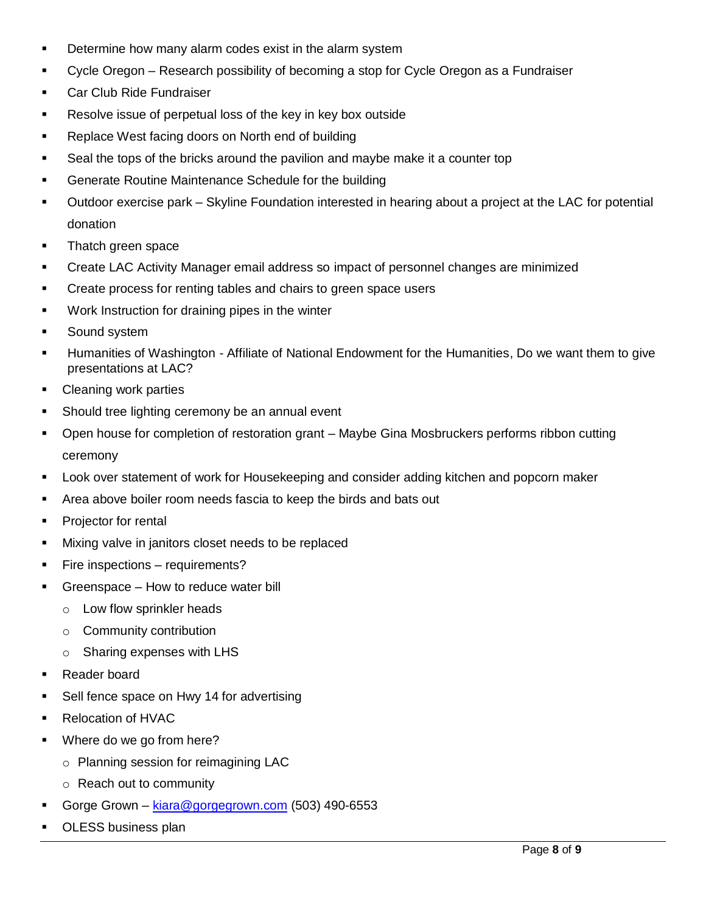- Determine how many alarm codes exist in the alarm system
- Cycle Oregon Research possibility of becoming a stop for Cycle Oregon as a Fundraiser
- **Car Club Ride Fundraiser**
- **Resolve issue of perpetual loss of the key in key box outside**
- Replace West facing doors on North end of building
- Seal the tops of the bricks around the pavilion and maybe make it a counter top
- **Generate Routine Maintenance Schedule for the building**
- Outdoor exercise park Skyline Foundation interested in hearing about a project at the LAC for potential donation
- Thatch green space
- Create LAC Activity Manager email address so impact of personnel changes are minimized
- **EXECT** Create process for renting tables and chairs to green space users
- **Work Instruction for draining pipes in the winter**
- Sound system
- Humanities of Washington Affiliate of National Endowment for the Humanities, Do we want them to give presentations at LAC?
- Cleaning work parties
- Should tree lighting ceremony be an annual event
- Open house for completion of restoration grant Maybe Gina Mosbruckers performs ribbon cutting ceremony
- Look over statement of work for Housekeeping and consider adding kitchen and popcorn maker
- Area above boiler room needs fascia to keep the birds and bats out
- **Projector for rental**
- **Mixing valve in janitors closet needs to be replaced**
- **Fire inspections requirements?**
- Greenspace How to reduce water bill
	- o Low flow sprinkler heads
	- o Community contribution
	- o Sharing expenses with LHS
- Reader board
- **Sell fence space on Hwy 14 for advertising**
- Relocation of HVAC
- Where do we go from here?
	- o Planning session for reimagining LAC
	- o Reach out to community
- Gorge Grown [kiara@gorgegrown.com](mailto:kiara@gorgegrown.com) (503) 490-6553
- OLESS business plan